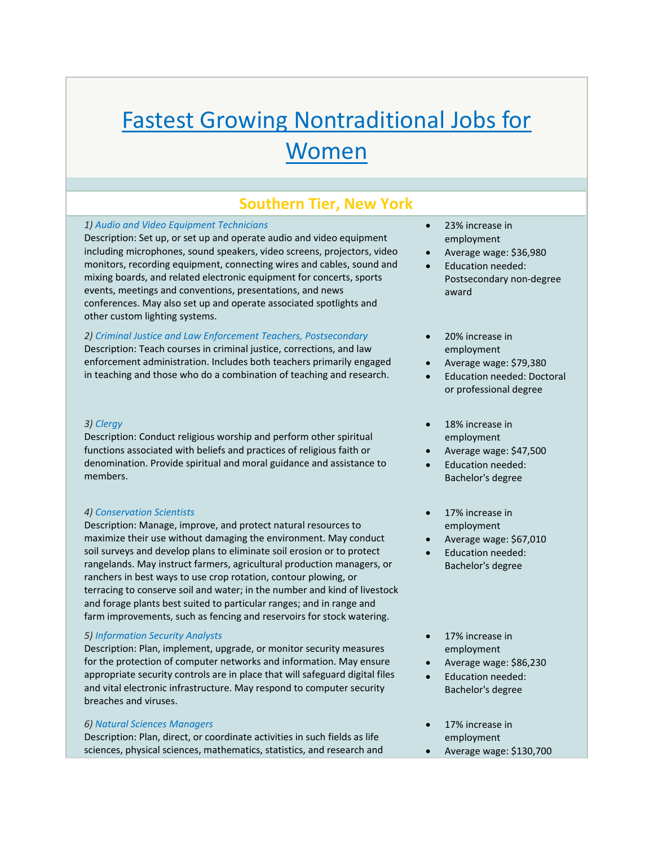# Fastest Growing Nontraditional Jobs for Women

# **Southern Tier, New York**

## *1) Audio and Video Equipment Technicians*

Description: Set up, or set up and operate audio and video equipment including microphones, sound speakers, video screens, projectors, video monitors, recording equipment, connecting wires and cables, sound and mixing boards, and related electronic equipment for concerts, sports events, meetings and conventions, presentations, and news conferences. May also set up and operate associated spotlights and other custom lighting systems.

## *2) Criminal Justice and Law Enforcement Teachers, Postsecondary*

Description: Teach courses in criminal justice, corrections, and law enforcement administration. Includes both teachers primarily engaged in teaching and those who do a combination of teaching and research.

#### *3) Clergy*

Description: Conduct religious worship and perform other spiritual functions associated with beliefs and practices of religious faith or denomination. Provide spiritual and moral guidance and assistance to members.

# *4) Conservation Scientists*

Description: Manage, improve, and protect natural resources to maximize their use without damaging the environment. May conduct soil surveys and develop plans to eliminate soil erosion or to protect rangelands. May instruct farmers, agricultural production managers, or ranchers in best ways to use crop rotation, contour plowing, or terracing to conserve soil and water; in the number and kind of livestock and forage plants best suited to particular ranges; and in range and farm improvements, such as fencing and reservoirs for stock watering.

#### *5) Information Security Analysts*

Description: Plan, implement, upgrade, or monitor security measures for the protection of computer networks and information. May ensure appropriate security controls are in place that will safeguard digital files and vital electronic infrastructure. May respond to computer security breaches and viruses.

#### *6) Natural Sciences Managers*

Description: Plan, direct, or coordinate activities in such fields as life sciences, physical sciences, mathematics, statistics, and research and

- 23% increase in employment
- Average wage: \$36,980
- Education needed: Postsecondary non‐degree award
- 20% increase in employment
- Average wage: \$79,380
- Education needed: Doctoral or professional degree
- 18% increase in employment
- Average wage: \$47,500
- Education needed: Bachelor's degree
- 17% increase in employment
- Average wage: \$67,010
- Education needed: Bachelor's degree

# 17% increase in employment

- Average wage: \$86,230
- Education needed: Bachelor's degree
- 17% increase in employment
- Average wage: \$130,700